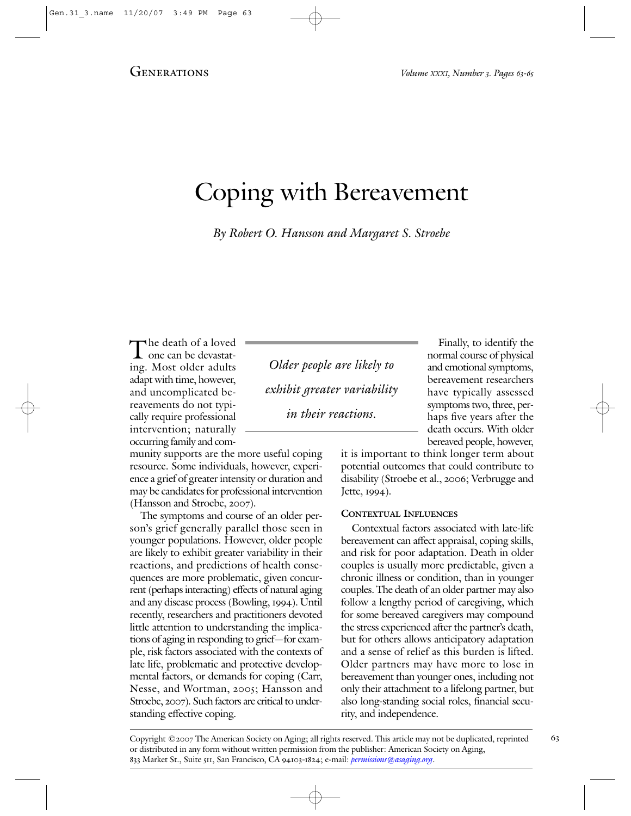# Coping with Bereavement

By Robert O. Hansson and Margaret S. Stroebe

The death of a loved<br>one can be devastat-<br>ing. Most older adults ing. Most older adults adapt with time, however, and uncomplicated bereavements do not typically require professional intervention; naturally occurring family and com-

munity supports are the more useful coping resource. Some individuals, however, experience a grief of greater intensity or duration and may be candidates for professional intervention (Hansson and Stroebe, 2007).

The symptoms and course of an older person's grief generally parallel those seen in younger populations. However, older people are likely to exhibit greater variability in their reactions, and predictions of health consequences are more problematic, given concurrent (perhaps interacting) effects of natural aging and any disease process (Bowling, 1994). Until recently, researchers and practitioners devoted little attention to understanding the implications of aging in responding to grief—for example, risk factors associated with the contexts of late life, problematic and protective developmental factors, or demands for coping (Carr, Nesse, and Wortman, 2005; Hansson and Stroebe, 2007). Such factors are critical to understanding effective coping.

Older people are likely to exhibit greater variability in their reactions.

Finally, to identify the normal course of physical and emotional symptoms, bereavement researchers have typically assessed symptoms two, three, perhaps five years after the death occurs. With older bereaved people, however,

it is important to think longer term about potential outcomes that could contribute to disability (Stroebe et al., 2006; Verbrugge and Jette, 1994).

### **CONTEXTUAL INFLUENCES**

Contextual factors associated with late-life bereavement can affect appraisal, coping skills, and risk for poor adaptation. Death in older couples is usually more predictable, given a chronic illness or condition, than in younger couples. The death of an older partner may also follow a lengthy period of caregiving, which for some bereaved caregivers may compound the stress experienced after the partner's death, but for others allows anticipatory adaptation and a sense of relief as this burden is lifted. Older partners may have more to lose in bereavement than younger ones, including not only their attachment to a lifelong partner, but also long-standing social roles, financial security, and independence.

Copyright ©2007 The American Society on Aging; all rights reserved. This article may not be duplicated, reprinted 63 or distributed in any form without written permission from the publisher: American Society on Aging, 833 Market St., Suite 511, San Francisco, CA 94103-1824; e-mail: *[permissions@asaging.org](mailto:permissions@asaging.org)*.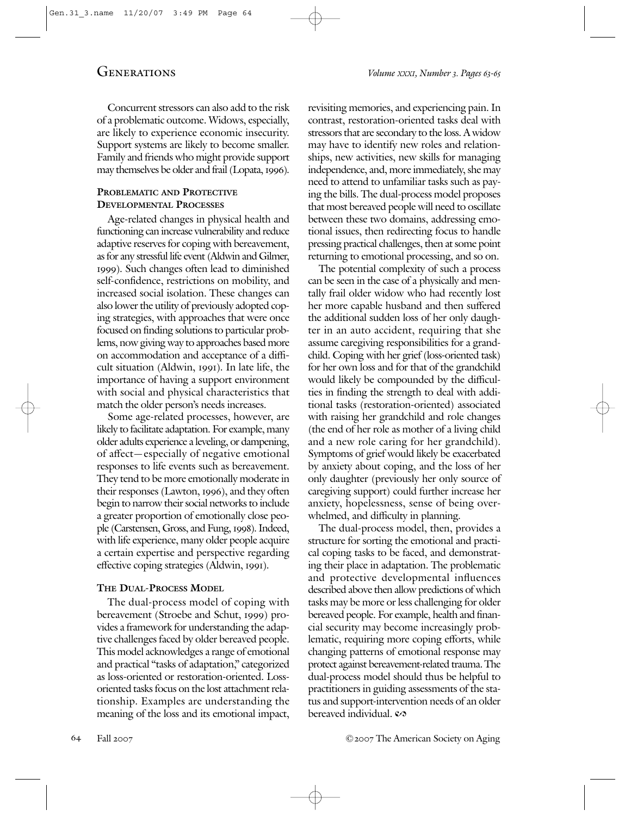Concurrent stressors can also add to the risk of a problematic outcome. Widows, especially, are likely to experience economic insecurity. Support systems are likely to become smaller. Family and friends who might provide support may themselves be older and frail (Lopata, 1996).

#### **PROBLEMATIC AND PROTECTIVE DEVELOPMENTAL PROCESSES**

Age-related changes in physical health and functioning can increase vulnerability and reduce adaptive reserves for coping with bereavement, as for any stressful life event (Aldwin and Gilmer, 1999). Such changes often lead to diminished self-confidence, restrictions on mobility, and increased social isolation. These changes can also lower the utility of previously adopted coping strategies, with approaches that were once focused on finding solutions to particular problems, now giving way to approaches based more on accommodation and acceptance of a difficult situation (Aldwin, 1991). In late life, the importance of having a support environment with social and physical characteristics that match the older person's needs increases.

Some age-related processes, however, are likely to facilitate adaptation. For example, many older adults experience a leveling, or dampening, of affect—especially of negative emotional responses to life events such as bereavement. They tend to be more emotionally moderate in their responses (Lawton, 1996), and they often begin to narrow their social networks to include a greater proportion of emotionally close people (Carstensen, Gross, and Fung, 1998). Indeed, with life experience, many older people acquire a certain expertise and perspective regarding effective coping strategies (Aldwin, 1991).

## **THE DUAL-PROCESS MODEL**

The dual-process model of coping with bereavement (Stroebe and Schut, 1999) provides a framework for understanding the adaptive challenges faced by older bereaved people. This model acknowledges a range of emotional and practical "tasks of adaptation," categorized as loss-oriented or restoration-oriented. Lossoriented tasks focus on the lost attachment relationship. Examples are understanding the meaning of the loss and its emotional impact, revisiting memories, and experiencing pain. In contrast, restoration-oriented tasks deal with stressors that are secondary to the loss. A widow may have to identify new roles and relationships, new activities, new skills for managing independence, and, more immediately, she may need to attend to unfamiliar tasks such as paying the bills. The dual-process model proposes that most bereaved people will need to oscillate between these two domains, addressing emotional issues, then redirecting focus to handle pressing practical challenges, then at some point returning to emotional processing, and so on.

The potential complexity of such a process can be seen in the case of a physically and mentally frail older widow who had recently lost her more capable husband and then suffered the additional sudden loss of her only daughter in an auto accident, requiring that she assume caregiving responsibilities for a grandchild. Coping with her grief (loss-oriented task) for her own loss and for that of the grandchild would likely be compounded by the difficulties in finding the strength to deal with additional tasks (restoration-oriented) associated with raising her grandchild and role changes (the end of her role as mother of a living child and a new role caring for her grandchild). Symptoms of grief would likely be exacerbated by anxiety about coping, and the loss of her only daughter (previously her only source of caregiving support) could further increase her anxiety, hopelessness, sense of being overwhelmed, and difficulty in planning.

The dual-process model, then, provides a structure for sorting the emotional and practical coping tasks to be faced, and demonstrating their place in adaptation. The problematic and protective developmental influences described above then allow predictions of which tasks may be more or less challenging for older bereaved people. For example, health and financial security may become increasingly problematic, requiring more coping efforts, while changing patterns of emotional response may protect against bereavement-related trauma. The dual-process model should thus be helpful to practitioners in guiding assessments of the status and support-intervention needs of an older bereaved individual.  $\infty$